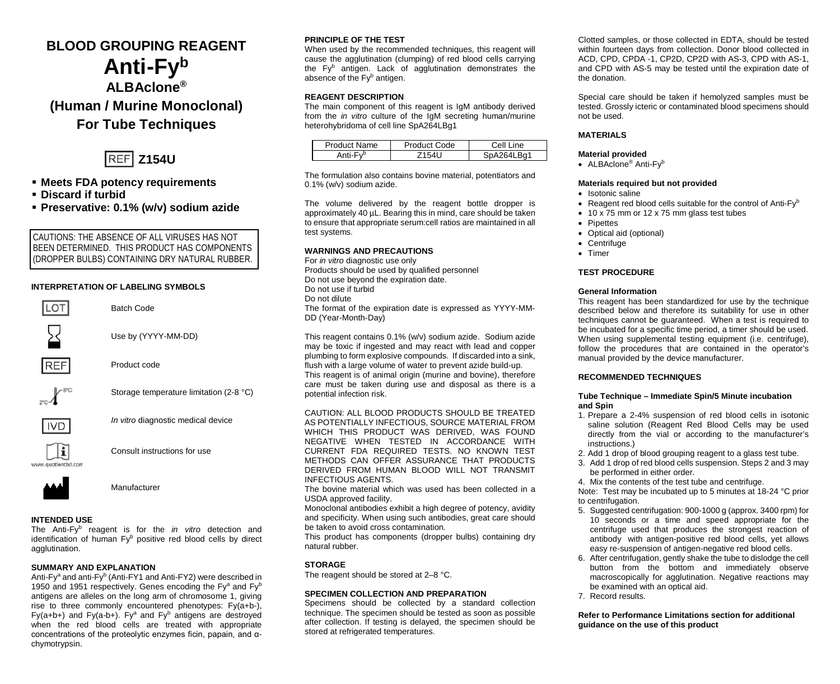# **BLOOD GROUPING REAGENT Anti-Fyb ALBAclone® (Human / Murine Monoclonal) For Tube Techniques**



- **Meets FDA potency requirements**
- **Discard if turbid**
- **Preservative: 0.1% (w/v) sodium azide**

CAUTIONS: THE ABSENCE OF ALL VIRUSES HAS NOT BEEN DETERMINED. THIS PRODUCT HAS COMPONENTS (DROPPER BULBS) CONTAINING DRY NATURAL RUBBER.

# **INTERPRETATION OF LABELING SYMBOLS**



Use by (YYYY-MM-DD)

Product code

Batch Code





*In vitro* diagnostic medical device

Storage temperature limitation (2-8 °C)



Consult instructions for use



Manufacturer

# **INTENDED USE**

The Anti-Fyb reagent is for the *in vitro* detection and identification of human Fy<sup>b</sup> positive red blood cells by direct agglutination.

#### **SUMMARY AND EXPLANATION**

Anti-Fv<sup>a</sup> and anti-Fy<sup>b</sup> (Anti-FY1 and Anti-FY2) were described in 1950 and 1951 respectively. Genes encoding the Fy<sup>a</sup> and Fy<sup>b</sup> antigens are alleles on the long arm of chromosome 1, giving rise to three commonly encountered phenotypes: Fy(a+b-), Fy(a+b+) and Fy(a-b+). Fy<sup>a</sup> and Fy<sup>b</sup> antigens are destroyed when the red blood cells are treated with appropriate concentrations of the proteolytic enzymes ficin, papain, and αchymotrypsin.

### **PRINCIPLE OF THE TEST**

When used by the recommended techniques, this reagent will cause the agglutination (clumping) of red blood cells carrying the Fy<sup>b</sup> antigen. Lack of agglutination demonstrates the absence of the Fy<sup>b</sup> antigen.

# **REAGENT DESCRIPTION**

The main component of this reagent is IgM antibody derived from the *in vitro* culture of the IgM secreting human/murine heterohybridoma of cell line SpA264LBg1

| Product Name  | Product Code | Cell Line                       |  |
|---------------|--------------|---------------------------------|--|
| ⊏. ,¤<br>nti- |              | $\triangle$ 2641 $\triangle$ 01 |  |

The formulation also contains bovine material, potentiators and 0.1% (w/v) sodium azide.

The volume delivered by the reagent bottle dropper is approximately 40 µL. Bearing this in mind, care should be taken to ensure that appropriate serum:cell ratios are maintained in all test systems.

#### **WARNINGS AND PRECAUTIONS**

For *in vitro* diagnostic use only Products should be used by qualified personnel Do not use beyond the expiration date. Do not use if turbid Do not dilute The format of the expiration date is expressed as YYYY-MM-DD (Year-Month-Day)

This reagent contains 0.1% (w/v) sodium azide. Sodium azide may be toxic if ingested and may react with lead and copper plumbing to form explosive compounds. If discarded into a sink, flush with a large volume of water to prevent azide build-up. This reagent is of animal origin (murine and bovine), therefore care must be taken during use and disposal as there is a potential infection risk.

CAUTION: ALL BLOOD PRODUCTS SHOULD BE TREATED AS POTENTIALLY INFECTIOUS, SOURCE MATERIAL FROM WHICH THIS PRODUCT WAS DERIVED, WAS FOUND NEGATIVE WHEN TESTED IN ACCORDANCE WITH CURRENT FDA REQUIRED TESTS. NO KNOWN TEST METHODS CAN OFFER ASSURANCE THAT PRODUCTS DERIVED FROM HUMAN BLOOD WILL NOT TRANSMIT INFECTIOUS AGENTS.

The bovine material which was used has been collected in a USDA approved facility.

Monoclonal antibodies exhibit a high degree of potency, avidity and specificity. When using such antibodies, great care should be taken to avoid cross contamination*.*

This product has components (dropper bulbs) containing dry natural rubber.

#### **STORAGE**

The reagent should be stored at 2–8 °C.

### **SPECIMEN COLLECTION AND PREPARATION**

Specimens should be collected by a standard collection technique. The specimen should be tested as soon as possible after collection. If testing is delayed, the specimen should be stored at refrigerated temperatures.

Clotted samples, or those collected in EDTA, should be tested within fourteen days from collection. Donor blood collected in ACD, CPD, CPDA -1, CP2D, CP2D with AS-3, CPD with AS-1, and CPD with AS-5 may be tested until the expiration date of the donation.

Special care should be taken if hemolyzed samples must be tested. Grossly icteric or contaminated blood specimens should not be used.

### **MATERIALS**

#### **Material provided**

• ALBAclone<sup>®</sup> Anti-Fy<sup>b</sup>

#### **Materials required but not provided**

- Isotonic saline
- Reagent red blood cells suitable for the control of Anti-Fyb
- 10 x 75 mm or 12 x 75 mm glass test tubes
- Pipettes
- Optical aid (optional)
- Centrifuge
- Timer

# **TEST PROCEDURE**

#### **General Information**

This reagent has been standardized for use by the technique described below and therefore its suitability for use in other techniques cannot be guaranteed. When a test is required to be incubated for a specific time period, a timer should be used. When using supplemental testing equipment (i.e. centrifuge), follow the procedures that are contained in the operator's manual provided by the device manufacturer.

#### **RECOMMENDED TECHNIQUES**

#### **Tube Technique – Immediate Spin/5 Minute incubation and Spin**

- 1. Prepare a 2-4% suspension of red blood cells in isotonic saline solution (Reagent Red Blood Cells may be used directly from the vial or according to the manufacturer's instructions.)
- 2. Add 1 drop of blood grouping reagent to a glass test tube.
- 3. Add 1 drop of red blood cells suspension. Steps 2 and 3 may be performed in either order.
- 4. Mix the contents of the test tube and centrifuge.

Note: Test may be incubated up to 5 minutes at 18-24 °C prior to centrifugation.

- 5. Suggested centrifugation: 900-1000 g (approx. 3400 rpm) for 10 seconds or a time and speed appropriate for the centrifuge used that produces the strongest reaction of antibody with antigen-positive red blood cells, yet allows easy re-suspension of antigen-negative red blood cells.
- 6. After centrifugation, gently shake the tube to dislodge the cell button from the bottom and immediately observe macroscopically for agglutination. Negative reactions may be examined with an optical aid.
- 7. Record results.

**Refer to Performance Limitations section for additional guidance on the use of this product**